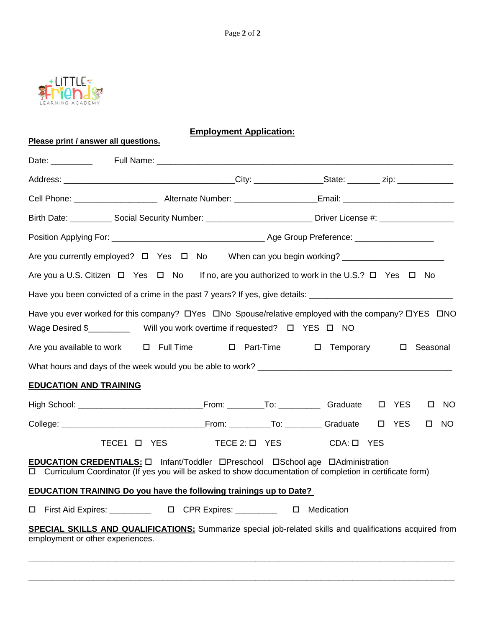

**Please print / answer all questions.**

|--|

| Birth Date: _____________ Social Security Number: _______________________________ Driver License #: ________________                                                                          |                    |                        |  |        |              |
|-----------------------------------------------------------------------------------------------------------------------------------------------------------------------------------------------|--------------------|------------------------|--|--------|--------------|
|                                                                                                                                                                                               |                    |                        |  |        |              |
| Are you currently employed? □ Yes □ No When can you begin working? ____________________                                                                                                       |                    |                        |  |        |              |
| Are you a U.S. Citizen $\Box$ Yes $\Box$ No If no, are you authorized to work in the U.S.? $\Box$ Yes $\Box$ No                                                                               |                    |                        |  |        |              |
| Have you been convicted of a crime in the past 7 years? If yes, give details: ________________________________                                                                                |                    |                        |  |        |              |
| Have you ever worked for this company? OYes ONo Spouse/relative employed with the company? OYES ONO<br>Wage Desired \$______________ Will you work overtime if requested? □ YES □ NO          |                    |                        |  |        |              |
| Are you available to work $\Box$ Full Time $\Box$ Part-Time                                                                                                                                   |                    | □ Temporary □ Seasonal |  |        |              |
|                                                                                                                                                                                               |                    |                        |  |        |              |
| <b>EDUCATION AND TRAINING</b>                                                                                                                                                                 |                    |                        |  |        |              |
|                                                                                                                                                                                               |                    |                        |  | $\Box$ | <b>NO</b>    |
|                                                                                                                                                                                               |                    |                        |  |        | $\square$ NO |
| TECE1 O YES                                                                                                                                                                                   | $TECE 2: \Box YES$ | $CDA: \square$ YES     |  |        |              |
| EDUCATION CREDENTIALS: □ Infant/Toddler □Preschool □School age □Administration<br>□ Curriculum Coordinator (If yes you will be asked to show documentation of completion in certificate form) |                    |                        |  |        |              |
| <b>EDUCATION TRAINING Do you have the following trainings up to Date?</b>                                                                                                                     |                    |                        |  |        |              |
| □ First Aid Expires: __________  □ CPR Expires: _________  □ Medication                                                                                                                       |                    |                        |  |        |              |
| <b>SPECIAL SKILLS AND QUALIFICATIONS:</b> Summarize special job-related skills and qualifications acquired from<br>employment or other experiences.                                           |                    |                        |  |        |              |

 $\_$  ,  $\_$  ,  $\_$  ,  $\_$  ,  $\_$  ,  $\_$  ,  $\_$  ,  $\_$  ,  $\_$  ,  $\_$  ,  $\_$  ,  $\_$  ,  $\_$  ,  $\_$  ,  $\_$  ,  $\_$  ,  $\_$  ,  $\_$  ,  $\_$  ,  $\_$  ,  $\_$  ,  $\_$  ,  $\_$  ,  $\_$  ,  $\_$  ,  $\_$  ,  $\_$  ,  $\_$  ,  $\_$  ,  $\_$  ,  $\_$  ,  $\_$  ,  $\_$  ,  $\_$  ,  $\_$  ,  $\_$  ,  $\_$  ,

\_\_\_\_\_\_\_\_\_\_\_\_\_\_\_\_\_\_\_\_\_\_\_\_\_\_\_\_\_\_\_\_\_\_\_\_\_\_\_\_\_\_\_\_\_\_\_\_\_\_\_\_\_\_\_\_\_\_\_\_\_\_\_\_\_\_\_\_\_\_\_\_\_\_\_\_\_\_\_\_\_\_\_\_\_\_\_\_\_\_\_\_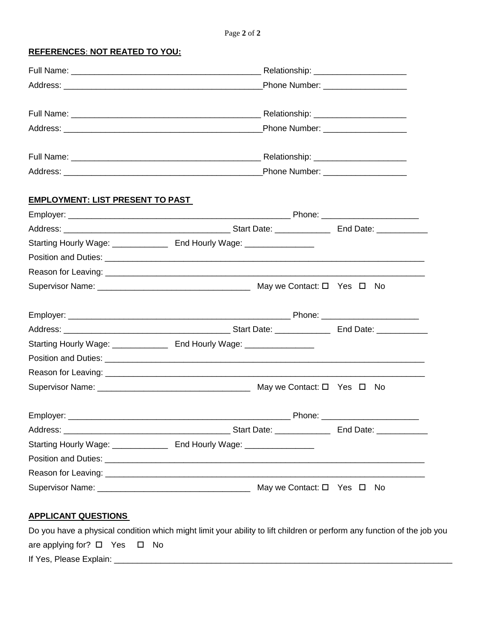Page **2** of **2**

**REFERENCES**: **NOT REATED TO YOU:**

|                                         |                            | Phone Number: _____________________ |
|-----------------------------------------|----------------------------|-------------------------------------|
|                                         |                            |                                     |
|                                         |                            |                                     |
|                                         |                            |                                     |
|                                         |                            |                                     |
| <b>EMPLOYMENT: LIST PRESENT TO PAST</b> |                            |                                     |
|                                         |                            |                                     |
|                                         |                            |                                     |
|                                         |                            |                                     |
|                                         |                            |                                     |
|                                         |                            |                                     |
|                                         |                            |                                     |
|                                         |                            |                                     |
|                                         |                            |                                     |
|                                         |                            |                                     |
|                                         |                            |                                     |
|                                         |                            |                                     |
|                                         |                            |                                     |
|                                         |                            |                                     |
|                                         | Start Date: ______________ | End Date: ____________              |
|                                         |                            |                                     |
|                                         |                            |                                     |
|                                         |                            |                                     |
|                                         |                            | May we Contact: □ Yes □ No          |

## **APPLICANT QUESTIONS**

|                                        |  | Do you have a physical condition which might limit your ability to lift children or perform any function of the job you |
|----------------------------------------|--|-------------------------------------------------------------------------------------------------------------------------|
| are applying for? $\Box$ Yes $\Box$ No |  |                                                                                                                         |
| If Yes, Please Explain:                |  |                                                                                                                         |